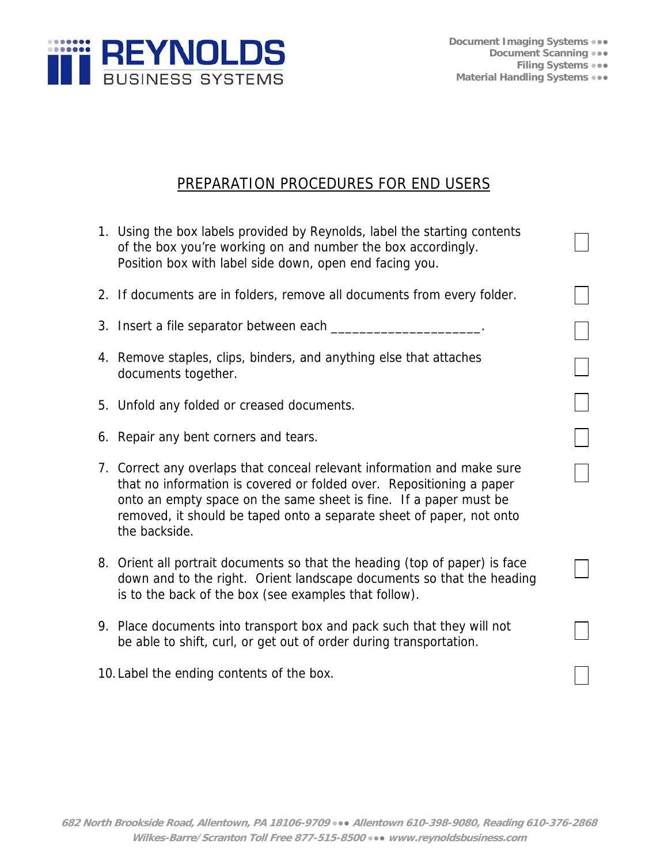

## PREPARATION PROCEDURES FOR END USERS

| 1. Using the box labels provided by Reynolds, label the starting contents<br>of the box you're working on and number the box accordingly.<br>Position box with label side down, open end facing you.                                                                                                          |  |
|---------------------------------------------------------------------------------------------------------------------------------------------------------------------------------------------------------------------------------------------------------------------------------------------------------------|--|
| 2. If documents are in folders, remove all documents from every folder.                                                                                                                                                                                                                                       |  |
| 3. Insert a file separator between each _______                                                                                                                                                                                                                                                               |  |
| 4. Remove staples, clips, binders, and anything else that attaches<br>documents together.                                                                                                                                                                                                                     |  |
| 5. Unfold any folded or creased documents.                                                                                                                                                                                                                                                                    |  |
| 6. Repair any bent corners and tears.                                                                                                                                                                                                                                                                         |  |
| 7. Correct any overlaps that conceal relevant information and make sure<br>that no information is covered or folded over. Repositioning a paper<br>onto an empty space on the same sheet is fine. If a paper must be<br>removed, it should be taped onto a separate sheet of paper, not onto<br>the backside. |  |
| 8. Orient all portrait documents so that the heading (top of paper) is face<br>down and to the right. Orient landscape documents so that the heading<br>is to the back of the box (see examples that follow).                                                                                                 |  |
| 9. Place documents into transport box and pack such that they will not<br>be able to shift, curl, or get out of order during transportation.                                                                                                                                                                  |  |
| 10. Label the ending contents of the box.                                                                                                                                                                                                                                                                     |  |
|                                                                                                                                                                                                                                                                                                               |  |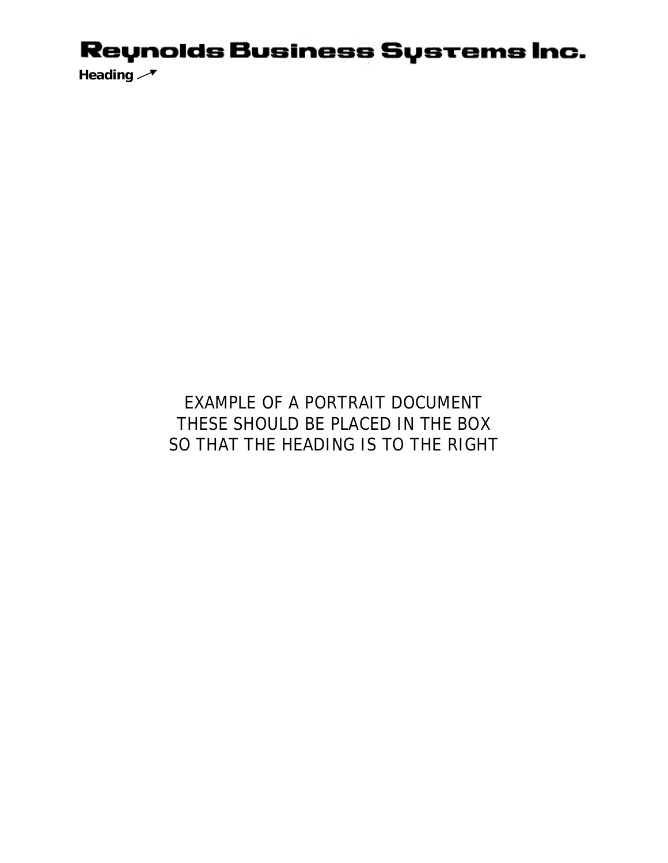## Reynolds Business Systems Inc.

Heading  $\rightarrow$ 

## EXAMPLE OF A PORTRAIT DOCUMENT THESE SHOULD BE PLACED IN THE BOX SO THAT THE HEADING IS TO THE RIGHT